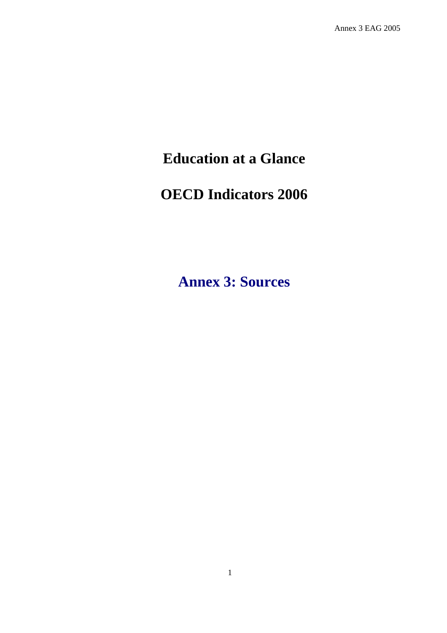# **Education at a Glance**

# **OECD Indicators 2006**

**Annex 3: Sources**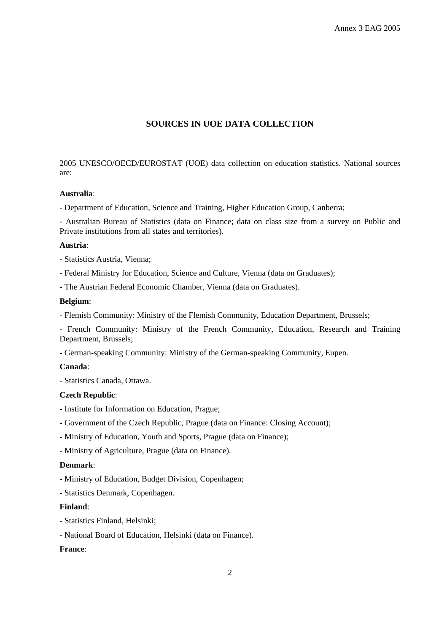## **SOURCES IN UOE DATA COLLECTION**

2005 UNESCO/OECD/EUROSTAT (UOE) data collection on education statistics. National sources are:

#### **Australia**:

- Department of Education, Science and Training, Higher Education Group, Canberra;

- Australian Bureau of Statistics (data on Finance; data on class size from a survey on Public and Private institutions from all states and territories).

#### **Austria**:

- Statistics Austria, Vienna;
- Federal Ministry for Education, Science and Culture, Vienna (data on Graduates);
- The Austrian Federal Economic Chamber, Vienna (data on Graduates).

#### **Belgium**:

- Flemish Community: Ministry of the Flemish Community, Education Department, Brussels;

- French Community: Ministry of the French Community, Education, Research and Training Department, Brussels;

- German-speaking Community: Ministry of the German-speaking Community, Eupen.

## **Canada**:

- Statistics Canada, Ottawa.

#### **Czech Republic**:

- Institute for Information on Education, Prague;
- Government of the Czech Republic, Prague (data on Finance: Closing Account);
- Ministry of Education, Youth and Sports, Prague (data on Finance);
- Ministry of Agriculture, Prague (data on Finance).

#### **Denmark**:

- Ministry of Education, Budget Division, Copenhagen;
- Statistics Denmark, Copenhagen.

#### **Finland**:

- Statistics Finland, Helsinki;
- National Board of Education, Helsinki (data on Finance).

## **France**: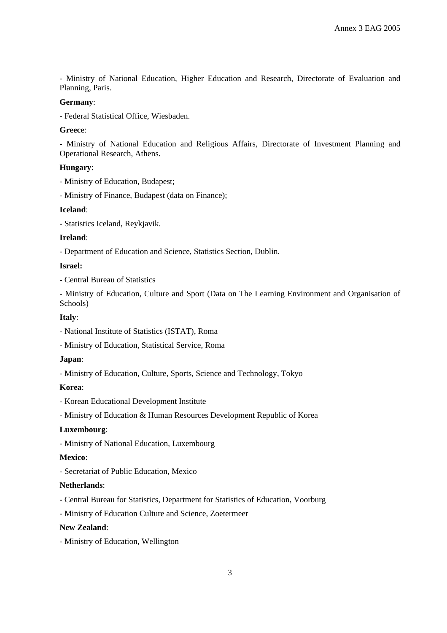- Ministry of National Education, Higher Education and Research, Directorate of Evaluation and Planning, Paris.

#### **Germany**:

- Federal Statistical Office, Wiesbaden.

#### **Greece**:

- Ministry of National Education and Religious Affairs, Directorate of Investment Planning and Operational Research, Athens.

#### **Hungary**:

- Ministry of Education, Budapest;

- Ministry of Finance, Budapest (data on Finance);

## **Iceland**:

- Statistics Iceland, Reykjavik.

#### **Ireland**:

- Department of Education and Science, Statistics Section, Dublin.

#### **Israel:**

- Central Bureau of Statistics

- Ministry of Education, Culture and Sport (Data on The Learning Environment and Organisation of Schools)

#### **Italy**:

- National Institute of Statistics (ISTAT), Roma
- Ministry of Education, Statistical Service, Roma

#### **Japan**:

- Ministry of Education, Culture, Sports, Science and Technology, Tokyo

#### **Korea**:

- Korean Educational Development Institute

- Ministry of Education & Human Resources Development Republic of Korea

## **Luxembourg**:

- Ministry of National Education, Luxembourg

## **Mexico**:

- Secretariat of Public Education, Mexico

#### **Netherlands**:

- Central Bureau for Statistics, Department for Statistics of Education, Voorburg
- Ministry of Education Culture and Science, Zoetermeer

## **New Zealand**:

- Ministry of Education, Wellington